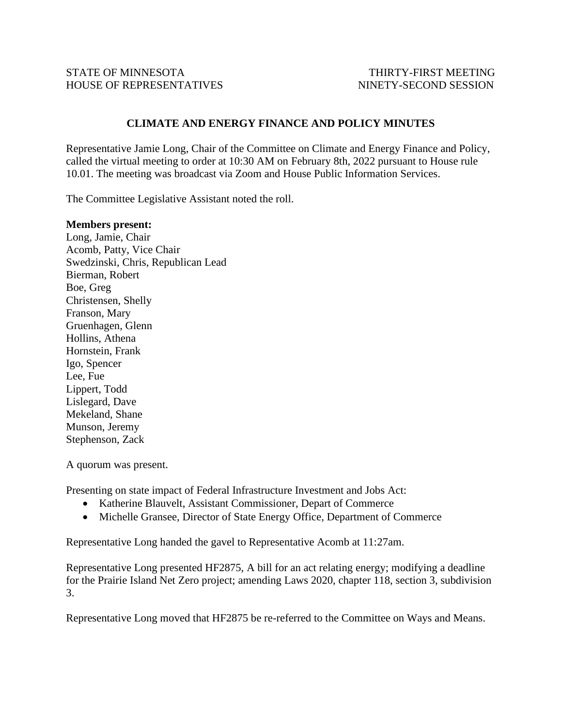## **CLIMATE AND ENERGY FINANCE AND POLICY MINUTES**

Representative Jamie Long, Chair of the Committee on Climate and Energy Finance and Policy, called the virtual meeting to order at 10:30 AM on February 8th, 2022 pursuant to House rule 10.01. The meeting was broadcast via Zoom and House Public Information Services.

The Committee Legislative Assistant noted the roll.

## **Members present:**

Long, Jamie, Chair Acomb, Patty, Vice Chair Swedzinski, Chris, Republican Lead Bierman, Robert Boe, Greg Christensen, Shelly Franson, Mary Gruenhagen, Glenn Hollins, Athena Hornstein, Frank Igo, Spencer Lee, Fue Lippert, Todd Lislegard, Dave Mekeland, Shane Munson, Jeremy Stephenson, Zack

A quorum was present.

Presenting on state impact of Federal Infrastructure Investment and Jobs Act:

- Katherine Blauvelt, Assistant Commissioner, Depart of Commerce
- Michelle Gransee, Director of State Energy Office, Department of Commerce

Representative Long handed the gavel to Representative Acomb at 11:27am.

Representative Long presented HF2875, A bill for an act relating energy; modifying a deadline for the Prairie Island Net Zero project; amending Laws 2020, chapter 118, section 3, subdivision 3.

Representative Long moved that HF2875 be re-referred to the Committee on Ways and Means.